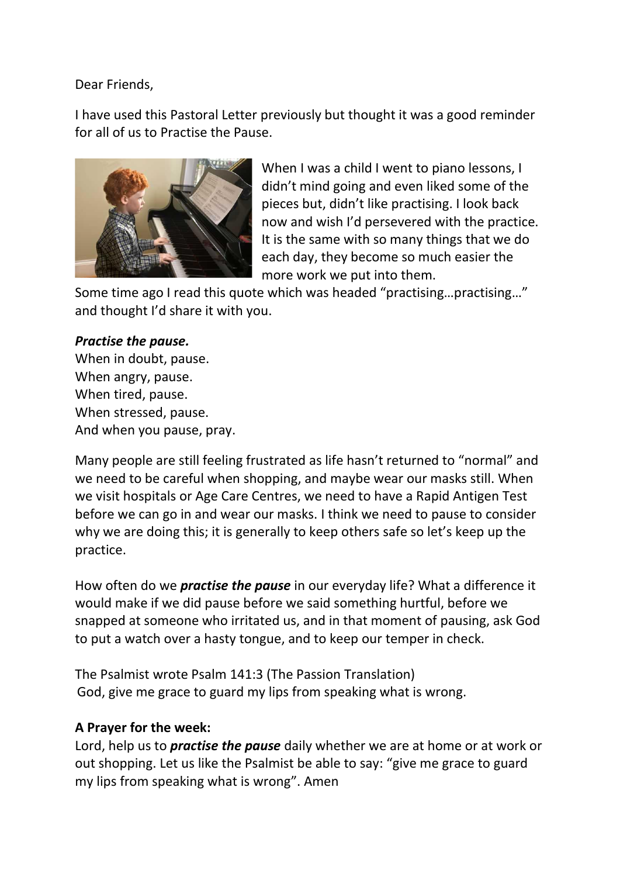Dear Friends,

I have used this Pastoral Letter previously but thought it was a good reminder for all of us to Practise the Pause.



When I was a child I went to piano lessons, I didn't mind going and even liked some of the pieces but, didn't like practising. I look back now and wish I'd persevered with the practice. It is the same with so many things that we do each day, they become so much easier the more work we put into them.

Some time ago I read this quote which was headed "practising…practising…" and thought I'd share it with you.

## *Practise the pause.*

When in doubt, pause. When angry, pause. When tired, pause. When stressed, pause. And when you pause, pray.

Many people are still feeling frustrated as life hasn't returned to "normal" and we need to be careful when shopping, and maybe wear our masks still. When we visit hospitals or Age Care Centres, we need to have a Rapid Antigen Test before we can go in and wear our masks. I think we need to pause to consider why we are doing this; it is generally to keep others safe so let's keep up the practice.

How often do we *practise the pause* in our everyday life? What a difference it would make if we did pause before we said something hurtful, before we snapped at someone who irritated us, and in that moment of pausing, ask God to put a watch over a hasty tongue, and to keep our temper in check.

The Psalmist wrote Psalm 141:3 (The Passion Translation) God, give me grace to guard my lips from speaking what is wrong.

## **A Prayer for the week:**

Lord, help us to *practise the pause* daily whether we are at home or at work or out shopping. Let us like the Psalmist be able to say: "give me grace to guard my lips from speaking what is wrong". Amen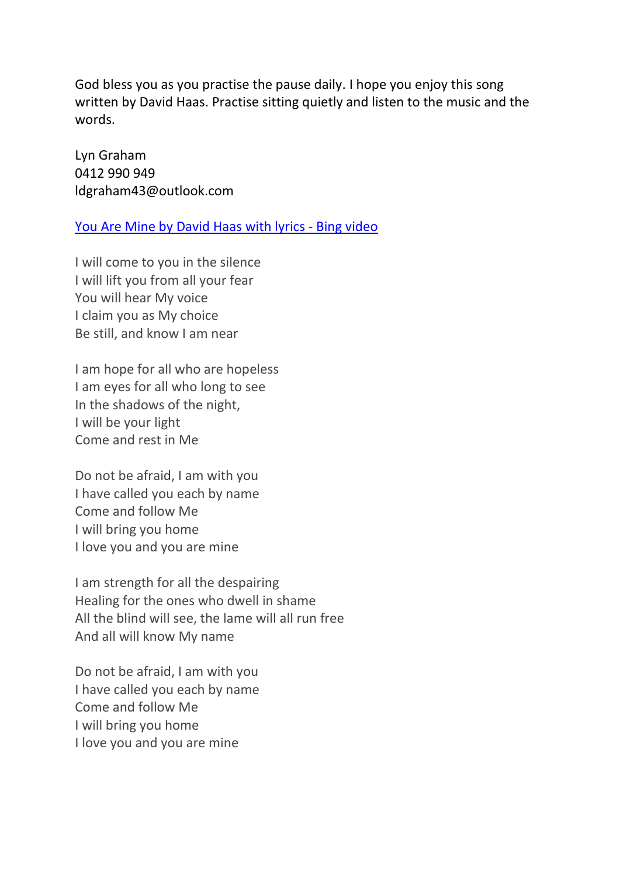God bless you as you practise the pause daily. I hope you enjoy this song written by David Haas. Practise sitting quietly and listen to the music and the words.

Lyn Graham 0412 990 949 ldgraham43@outlook.com

[You Are Mine by David Haas with lyrics -](https://www.bing.com/videos/search?q=i+love+you+and+you+are+mine+youtube&&view=detail&mid=1827E6329B7CEDEF79191827E6329B7CEDEF7919&&FORM=VDRVRV) Bing video

I will come to you in the silence I will lift you from all your fear You will hear My voice I claim you as My choice Be still, and know I am near

I am hope for all who are hopeless I am eyes for all who long to see In the shadows of the night, I will be your light Come and rest in Me

Do not be afraid, I am with you I have called you each by name Come and follow Me I will bring you home I love you and you are mine

I am strength for all the despairing Healing for the ones who dwell in shame All the blind will see, the lame will all run free And all will know My name

Do not be afraid, I am with you I have called you each by name Come and follow Me I will bring you home I love you and you are mine